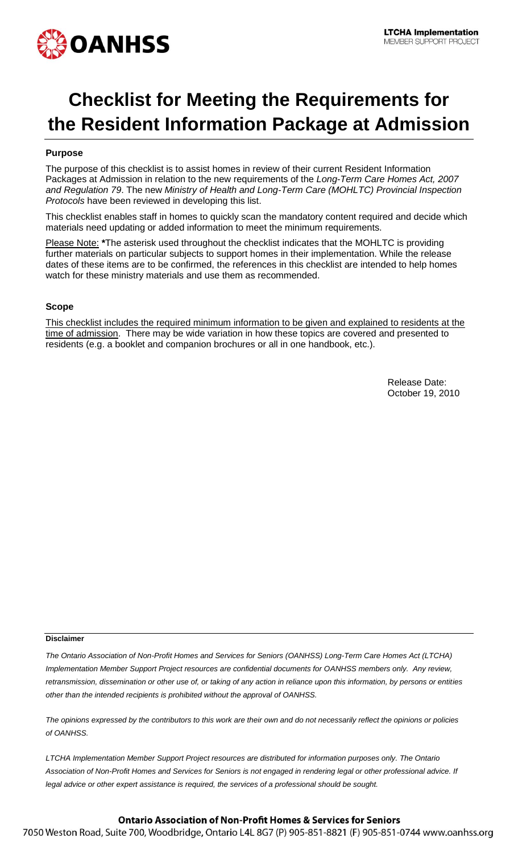

# **Checklist for Meeting the Requirements for the Resident Information Package at Admission**

### **Purpose**

The purpose of this checklist is to assist homes in review of their current Resident Information Packages at Admission in relation to the new requirements of the *Long-Term Care Homes Act, 2007 and Regulation 79*. The new *Ministry of Health and Long-Term Care (MOHLTC) Provincial Inspection Protocols* have been reviewed in developing this list.

This checklist enables staff in homes to quickly scan the mandatory content required and decide which materials need updating or added information to meet the minimum requirements.

Please Note: **\***The asterisk used throughout the checklist indicates that the MOHLTC is providing further materials on particular subjects to support homes in their implementation. While the release dates of these items are to be confirmed, the references in this checklist are intended to help homes watch for these ministry materials and use them as recommended.

#### **Scope**

This checklist includes the required minimum information to be given and explained to residents at the time of admission. There may be wide variation in how these topics are covered and presented to residents (e.g. a booklet and companion brochures or all in one handbook, etc.).

> Release Date: October 19, 2010

#### **Disclaimer**

*The Ontario Association of Non-Profit Homes and Services for Seniors (OANHSS) Long-Term Care Homes Act (LTCHA) Implementation Member Support Project resources are confidential documents for OANHSS members only. Any review, retransmission, dissemination or other use of, or taking of any action in reliance upon this information, by persons or entities other than the intended recipients is prohibited without the approval of OANHSS.*

*The opinions expressed by the contributors to this work are their own and do not necessarily reflect the opinions or policies of OANHSS.*

*LTCHA Implementation Member Support Project resources are distributed for information purposes only. The Ontario Association of Non-Profit Homes and Services for Seniors is not engaged in rendering legal or other professional advice. If legal advice or other expert assistance is required, the services of a professional should be sought.*

## **Ontario Association of Non-Profit Homes & Services for Seniors**

7050 Weston Road, Suite 700, Woodbridge, Ontario L4L 8G7 (P) 905-851-8821 (F) 905-851-0744 www.oanhss.org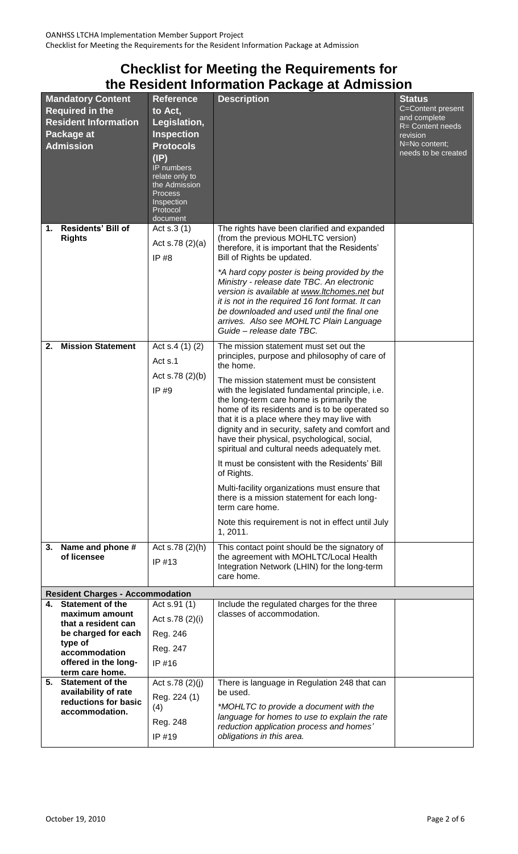# **Checklist for Meeting the Requirements for the Resident Information Package at Admission**

| <b>Mandatory Content</b><br><b>Required in the</b><br><b>Resident Information</b><br>Package at<br><b>Admission</b> |                                                          | <b>Reference</b><br>to Act,<br>Legislation,<br><b>Inspection</b><br><b>Protocols</b><br>$(\mathsf{IP})$<br>IP numbers<br>relate only to<br>the Admission<br>Process<br>Inspection<br>Protocol<br>document | <b>Description</b>                                                                                                                                                                                                                                                                                                                                                                                                                                                                                                                                                                                                                                                                                                                                     | <b>Status</b><br>C=Content present<br>and complete<br>R= Content needs<br>revision<br>N=No content;<br>needs to be created |
|---------------------------------------------------------------------------------------------------------------------|----------------------------------------------------------|-----------------------------------------------------------------------------------------------------------------------------------------------------------------------------------------------------------|--------------------------------------------------------------------------------------------------------------------------------------------------------------------------------------------------------------------------------------------------------------------------------------------------------------------------------------------------------------------------------------------------------------------------------------------------------------------------------------------------------------------------------------------------------------------------------------------------------------------------------------------------------------------------------------------------------------------------------------------------------|----------------------------------------------------------------------------------------------------------------------------|
| 1.                                                                                                                  | <b>Residents' Bill of</b><br><b>Rights</b>               | Act s.3 (1)<br>Act s.78 $(2)(a)$<br>IP #8                                                                                                                                                                 | The rights have been clarified and expanded<br>(from the previous MOHLTC version)<br>therefore, it is important that the Residents'<br>Bill of Rights be updated.<br>*A hard copy poster is being provided by the<br>Ministry - release date TBC. An electronic<br>version is available at www.ltchomes.net but<br>it is not in the required 16 font format. It can<br>be downloaded and used until the final one<br>arrives. Also see MOHLTC Plain Language<br>Guide - release date TBC.                                                                                                                                                                                                                                                              |                                                                                                                            |
| 2.                                                                                                                  | <b>Mission Statement</b>                                 | Act $s.4(1)(2)$<br>Act s.1<br>Act s.78 $(2)(b)$<br>IP#9                                                                                                                                                   | The mission statement must set out the<br>principles, purpose and philosophy of care of<br>the home.<br>The mission statement must be consistent<br>with the legislated fundamental principle, i.e.<br>the long-term care home is primarily the<br>home of its residents and is to be operated so<br>that it is a place where they may live with<br>dignity and in security, safety and comfort and<br>have their physical, psychological, social,<br>spiritual and cultural needs adequately met.<br>It must be consistent with the Residents' Bill<br>of Rights.<br>Multi-facility organizations must ensure that<br>there is a mission statement for each long-<br>term care home.<br>Note this requirement is not in effect until July<br>1, 2011. |                                                                                                                            |
| 3.                                                                                                                  | Name and phone #<br>of licensee                          | Act s.78 (2)(h)<br>IP #13                                                                                                                                                                                 | This contact point should be the signatory of<br>the agreement with MOHLTC/Local Health<br>Integration Network (LHIN) for the long-term<br>care home.                                                                                                                                                                                                                                                                                                                                                                                                                                                                                                                                                                                                  |                                                                                                                            |
|                                                                                                                     | <b>Resident Charges - Accommodation</b>                  |                                                                                                                                                                                                           |                                                                                                                                                                                                                                                                                                                                                                                                                                                                                                                                                                                                                                                                                                                                                        |                                                                                                                            |
| 4.                                                                                                                  | <b>Statement of the</b>                                  | Act s.91 (1)                                                                                                                                                                                              | Include the regulated charges for the three                                                                                                                                                                                                                                                                                                                                                                                                                                                                                                                                                                                                                                                                                                            |                                                                                                                            |
|                                                                                                                     | maximum amount<br>that a resident can                    | Act s.78 (2)(i)                                                                                                                                                                                           | classes of accommodation.                                                                                                                                                                                                                                                                                                                                                                                                                                                                                                                                                                                                                                                                                                                              |                                                                                                                            |
|                                                                                                                     | be charged for each<br>type of                           | Reg. 246                                                                                                                                                                                                  |                                                                                                                                                                                                                                                                                                                                                                                                                                                                                                                                                                                                                                                                                                                                                        |                                                                                                                            |
|                                                                                                                     | accommodation<br>offered in the long-<br>term care home. | Reg. 247<br>IP #16                                                                                                                                                                                        |                                                                                                                                                                                                                                                                                                                                                                                                                                                                                                                                                                                                                                                                                                                                                        |                                                                                                                            |
| 5.                                                                                                                  | <b>Statement of the</b>                                  | Act s.78 $(2)(j)$                                                                                                                                                                                         | There is language in Regulation 248 that can                                                                                                                                                                                                                                                                                                                                                                                                                                                                                                                                                                                                                                                                                                           |                                                                                                                            |
|                                                                                                                     | availability of rate                                     | Reg. 224 (1)                                                                                                                                                                                              | be used.                                                                                                                                                                                                                                                                                                                                                                                                                                                                                                                                                                                                                                                                                                                                               |                                                                                                                            |
|                                                                                                                     | reductions for basic<br>accommodation.                   | (4)                                                                                                                                                                                                       | *MOHLTC to provide a document with the                                                                                                                                                                                                                                                                                                                                                                                                                                                                                                                                                                                                                                                                                                                 |                                                                                                                            |
|                                                                                                                     |                                                          | Reg. 248<br>IP #19                                                                                                                                                                                        | language for homes to use to explain the rate<br>reduction application process and homes'<br>obligations in this area.                                                                                                                                                                                                                                                                                                                                                                                                                                                                                                                                                                                                                                 |                                                                                                                            |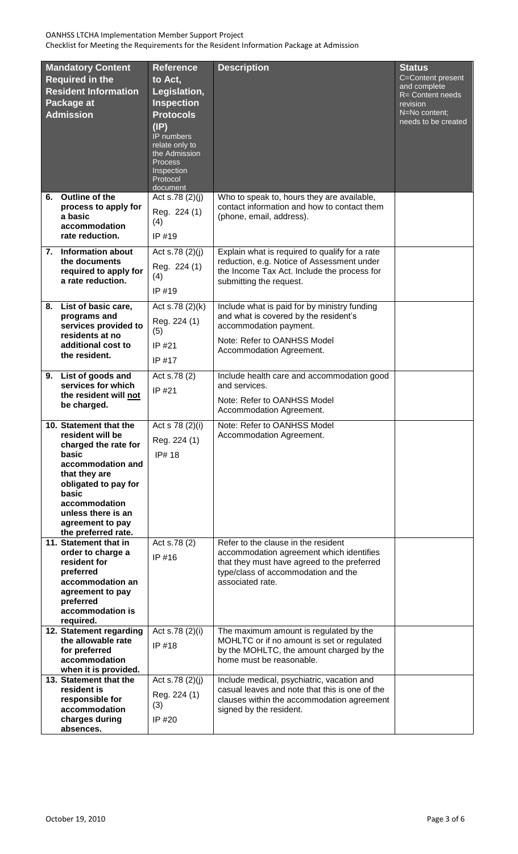| <b>Mandatory Content</b><br><b>Required in the</b><br><b>Resident Information</b><br>Package at<br><b>Admission</b> |                                                                                                                                                                                                                                      | <b>Reference</b><br>to Act,<br>Legislation,<br><b>Inspection</b><br><b>Protocols</b><br>(IP)<br>IP numbers<br>relate only to<br>the Admission<br>Process<br>Inspection<br>Protocol<br>document | <b>Description</b>                                                                                                                                                                        | <b>Status</b><br>C=Content present<br>and complete<br>R= Content needs<br>revision<br>N=No content;<br>needs to be created |
|---------------------------------------------------------------------------------------------------------------------|--------------------------------------------------------------------------------------------------------------------------------------------------------------------------------------------------------------------------------------|------------------------------------------------------------------------------------------------------------------------------------------------------------------------------------------------|-------------------------------------------------------------------------------------------------------------------------------------------------------------------------------------------|----------------------------------------------------------------------------------------------------------------------------|
| 6.                                                                                                                  | Outline of the<br>process to apply for<br>a basic<br>accommodation<br>rate reduction.                                                                                                                                                | Act s.78 $(2)(j)$<br>Reg. 224 (1)<br>(4)<br>IP #19                                                                                                                                             | Who to speak to, hours they are available,<br>contact information and how to contact them<br>(phone, email, address).                                                                     |                                                                                                                            |
|                                                                                                                     | 7. Information about<br>the documents<br>required to apply for<br>a rate reduction.                                                                                                                                                  | Act s.78 $(2)(j)$<br>Reg. 224 (1)<br>(4)<br>IP #19                                                                                                                                             | Explain what is required to qualify for a rate<br>reduction, e.g. Notice of Assessment under<br>the Income Tax Act. Include the process for<br>submitting the request.                    |                                                                                                                            |
| 8.                                                                                                                  | List of basic care,<br>programs and<br>services provided to<br>residents at no<br>additional cost to<br>the resident.                                                                                                                | Act s.78 (2)(k)<br>Reg. 224 (1)<br>(5)<br>IP #21<br>IP #17                                                                                                                                     | Include what is paid for by ministry funding<br>and what is covered by the resident's<br>accommodation payment.<br>Note: Refer to OANHSS Model<br>Accommodation Agreement.                |                                                                                                                            |
| 9.                                                                                                                  | List of goods and<br>services for which<br>the resident will not<br>be charged.                                                                                                                                                      | Act s.78 (2)<br>IP #21                                                                                                                                                                         | Include health care and accommodation good<br>and services.<br>Note: Refer to OANHSS Model<br>Accommodation Agreement.                                                                    |                                                                                                                            |
|                                                                                                                     | 10. Statement that the<br>resident will be<br>charged the rate for<br>basic<br>accommodation and<br>that they are<br>obligated to pay for<br>basic<br>accommodation<br>unless there is an<br>agreement to pay<br>the preferred rate. | Act s 78 (2)(i)<br>Reg. 224 (1)<br>IP# 18                                                                                                                                                      | Note: Refer to OANHSS Model<br>Accommodation Agreement.                                                                                                                                   |                                                                                                                            |
|                                                                                                                     | 11. Statement that in<br>order to charge a<br>resident for<br>preferred<br>accommodation an<br>agreement to pay<br>preferred<br>accommodation is<br>required.                                                                        | Act s.78 (2)<br>IP #16                                                                                                                                                                         | Refer to the clause in the resident<br>accommodation agreement which identifies<br>that they must have agreed to the preferred<br>type/class of accommodation and the<br>associated rate. |                                                                                                                            |
|                                                                                                                     | 12. Statement regarding<br>the allowable rate<br>for preferred<br>accommodation<br>when it is provided.                                                                                                                              | Act s.78 (2)(i)<br>IP #18                                                                                                                                                                      | The maximum amount is regulated by the<br>MOHLTC or if no amount is set or regulated<br>by the MOHLTC, the amount charged by the<br>home must be reasonable.                              |                                                                                                                            |
|                                                                                                                     | 13. Statement that the<br>resident is<br>responsible for<br>accommodation<br>charges during<br>absences.                                                                                                                             | Act s.78 $(2)(j)$<br>Reg. 224 (1)<br>(3)<br>IP #20                                                                                                                                             | Include medical, psychiatric, vacation and<br>casual leaves and note that this is one of the<br>clauses within the accommodation agreement<br>signed by the resident.                     |                                                                                                                            |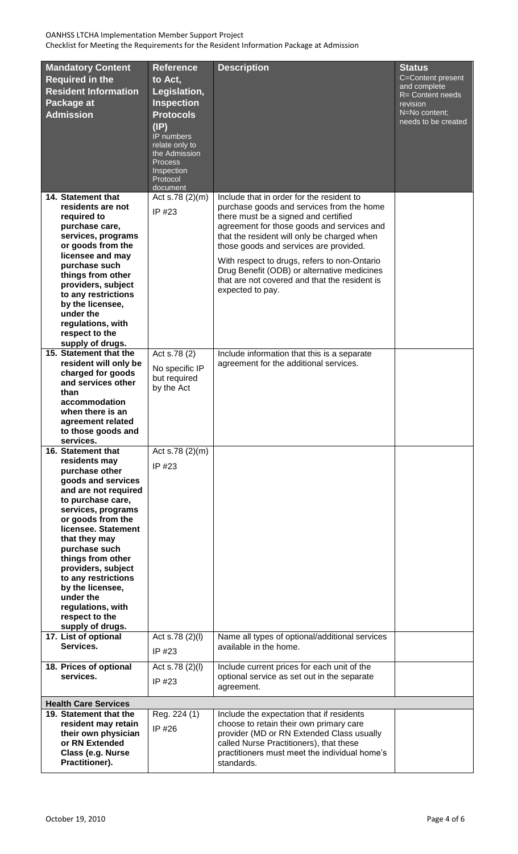| <b>Mandatory Content</b><br><b>Required in the</b><br><b>Resident Information</b><br>Package at<br><b>Admission</b>                                                                                                                                                                                                                                                                        | <b>Reference</b><br>to Act,<br>Legislation,<br><b>Inspection</b><br><b>Protocols</b><br>(IP)<br>IP numbers<br>relate only to<br>the Admission<br><b>Process</b><br>Inspection<br>Protocol<br>document | <b>Description</b>                                                                                                                                                                                                                                                                                                                                                                                                                        | <b>Status</b><br>C=Content present<br>and complete<br>R= Content needs<br>revision<br>N=No content;<br>needs to be created |
|--------------------------------------------------------------------------------------------------------------------------------------------------------------------------------------------------------------------------------------------------------------------------------------------------------------------------------------------------------------------------------------------|-------------------------------------------------------------------------------------------------------------------------------------------------------------------------------------------------------|-------------------------------------------------------------------------------------------------------------------------------------------------------------------------------------------------------------------------------------------------------------------------------------------------------------------------------------------------------------------------------------------------------------------------------------------|----------------------------------------------------------------------------------------------------------------------------|
| 14. Statement that<br>residents are not<br>required to<br>purchase care,<br>services, programs<br>or goods from the<br>licensee and may<br>purchase such<br>things from other<br>providers, subject<br>to any restrictions<br>by the licensee,<br>under the<br>regulations, with<br>respect to the<br>supply of drugs.                                                                     | Act s.78 (2)(m)<br>IP #23                                                                                                                                                                             | Include that in order for the resident to<br>purchase goods and services from the home<br>there must be a signed and certified<br>agreement for those goods and services and<br>that the resident will only be charged when<br>those goods and services are provided.<br>With respect to drugs, refers to non-Ontario<br>Drug Benefit (ODB) or alternative medicines<br>that are not covered and that the resident is<br>expected to pay. |                                                                                                                            |
| 15. Statement that the<br>resident will only be<br>charged for goods<br>and services other<br>than<br>accommodation<br>when there is an<br>agreement related<br>to those goods and<br>services.                                                                                                                                                                                            | Act s.78 $(2)$<br>No specific IP<br>but required<br>by the Act                                                                                                                                        | Include information that this is a separate<br>agreement for the additional services.                                                                                                                                                                                                                                                                                                                                                     |                                                                                                                            |
| 16. Statement that<br>residents may<br>purchase other<br>goods and services<br>and are not required<br>to purchase care,<br>services, programs<br>or goods from the<br>licensee. Statement<br>that they may<br>purchase such<br>things from other<br>providers, subject<br>to any restrictions<br>by the licensee,<br>under the<br>regulations, with<br>respect to the<br>supply of drugs. | Act s.78 $(2)(m)$<br>IP #23                                                                                                                                                                           |                                                                                                                                                                                                                                                                                                                                                                                                                                           |                                                                                                                            |
| 17. List of optional<br>Services.<br>18. Prices of optional                                                                                                                                                                                                                                                                                                                                | Act s.78 (2)(l)<br>IP #23<br>Act s.78 (2)(l)                                                                                                                                                          | Name all types of optional/additional services<br>available in the home.<br>Include current prices for each unit of the                                                                                                                                                                                                                                                                                                                   |                                                                                                                            |
| services.                                                                                                                                                                                                                                                                                                                                                                                  | IP #23                                                                                                                                                                                                | optional service as set out in the separate<br>agreement.                                                                                                                                                                                                                                                                                                                                                                                 |                                                                                                                            |
| <b>Health Care Services</b>                                                                                                                                                                                                                                                                                                                                                                |                                                                                                                                                                                                       |                                                                                                                                                                                                                                                                                                                                                                                                                                           |                                                                                                                            |
| 19. Statement that the<br>resident may retain<br>their own physician<br>or RN Extended<br>Class (e.g. Nurse<br>Practitioner).                                                                                                                                                                                                                                                              | Reg. 224 (1)<br>IP #26                                                                                                                                                                                | Include the expectation that if residents<br>choose to retain their own primary care<br>provider (MD or RN Extended Class usually<br>called Nurse Practitioners), that these<br>practitioners must meet the individual home's<br>standards.                                                                                                                                                                                               |                                                                                                                            |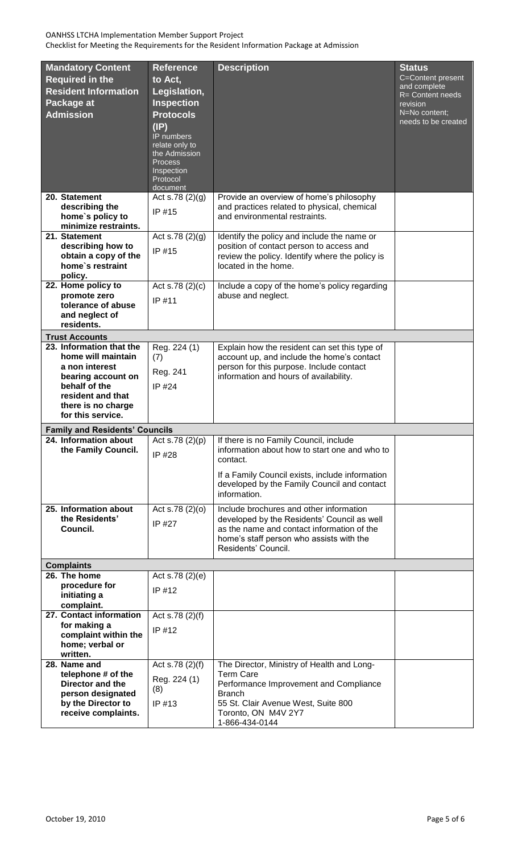| <b>Mandatory Content</b><br><b>Required in the</b><br><b>Resident Information</b><br>Package at<br><b>Admission</b>                                                     | <b>Reference</b><br>to Act,<br>Legislation,<br><b>Inspection</b><br><b>Protocols</b><br>(IP)<br>IP numbers<br>relate only to<br>the Admission<br><b>Process</b><br>Inspection<br>Protocol<br>document | <b>Description</b>                                                                                                                                                                                                    | <b>Status</b><br>C=Content present<br>and complete<br>R= Content needs<br>revision<br>N=No content;<br>needs to be created |
|-------------------------------------------------------------------------------------------------------------------------------------------------------------------------|-------------------------------------------------------------------------------------------------------------------------------------------------------------------------------------------------------|-----------------------------------------------------------------------------------------------------------------------------------------------------------------------------------------------------------------------|----------------------------------------------------------------------------------------------------------------------------|
| 20. Statement<br>describing the<br>home's policy to<br>minimize restraints.                                                                                             | Act s.78 $(2)(g)$<br>IP #15                                                                                                                                                                           | Provide an overview of home's philosophy<br>and practices related to physical, chemical<br>and environmental restraints.                                                                                              |                                                                                                                            |
| 21. Statement<br>describing how to<br>obtain a copy of the<br>home's restraint<br>policy.                                                                               | Act s.78 $(2)(q)$<br>IP #15                                                                                                                                                                           | Identify the policy and include the name or<br>position of contact person to access and<br>review the policy. Identify where the policy is<br>located in the home.                                                    |                                                                                                                            |
| 22. Home policy to<br>promote zero<br>tolerance of abuse<br>and neglect of<br>residents.                                                                                | Act s.78 $(2)(c)$<br>IP #11                                                                                                                                                                           | Include a copy of the home's policy regarding<br>abuse and neglect.                                                                                                                                                   |                                                                                                                            |
| <b>Trust Accounts</b>                                                                                                                                                   |                                                                                                                                                                                                       |                                                                                                                                                                                                                       |                                                                                                                            |
| 23. Information that the<br>home will maintain<br>a non interest<br>bearing account on<br>behalf of the<br>resident and that<br>there is no charge<br>for this service. | Reg. 224 $(1)$<br>(7)<br>Reg. 241<br>IP #24                                                                                                                                                           | Explain how the resident can set this type of<br>account up, and include the home's contact<br>person for this purpose. Include contact<br>information and hours of availability.                                     |                                                                                                                            |
| <b>Family and Residents' Councils</b>                                                                                                                                   |                                                                                                                                                                                                       |                                                                                                                                                                                                                       |                                                                                                                            |
| 24. Information about<br>the Family Council.                                                                                                                            | Act s.78 $(2)(p)$<br>IP #28                                                                                                                                                                           | If there is no Family Council, include<br>information about how to start one and who to<br>contact.<br>If a Family Council exists, include information<br>developed by the Family Council and contact<br>information. |                                                                                                                            |
| 25. Information about<br>the Residents'<br>Council.                                                                                                                     | Act s.78 (2)(o)<br>IP #27                                                                                                                                                                             | Include brochures and other information<br>developed by the Residents' Council as well<br>as the name and contact information of the<br>home's staff person who assists with the<br>Residents' Council.               |                                                                                                                            |
| <b>Complaints</b>                                                                                                                                                       |                                                                                                                                                                                                       |                                                                                                                                                                                                                       |                                                                                                                            |
| 26. The home<br>procedure for<br>initiating a<br>complaint.                                                                                                             | Act s.78 $(2)(e)$<br>IP $#12$                                                                                                                                                                         |                                                                                                                                                                                                                       |                                                                                                                            |
| 27. Contact information<br>for making a<br>complaint within the<br>home; verbal or<br>written.                                                                          | Act s.78 (2)(f)<br>IP #12                                                                                                                                                                             |                                                                                                                                                                                                                       |                                                                                                                            |
| 28. Name and<br>telephone # of the<br>Director and the<br>person designated<br>by the Director to<br>receive complaints.                                                | Act s.78 (2)(f)<br>Reg. 224 (1)<br>(8)<br>IP #13                                                                                                                                                      | The Director, Ministry of Health and Long-<br><b>Term Care</b><br>Performance Improvement and Compliance<br><b>Branch</b><br>55 St. Clair Avenue West, Suite 800<br>Toronto, ON M4V 2Y7<br>1-866-434-0144             |                                                                                                                            |